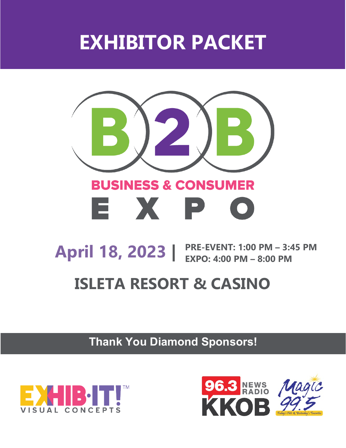## **EXHIBITOR PACKET**



# **PRE-EVENT: 1:00 PM – 3:45 PM April 18 EXPO: 4:00 PM – 8:00 PM , 2023 |**

## **ISLETA RESORT & CASINO**

**Thank You Diamond Sponsors!**



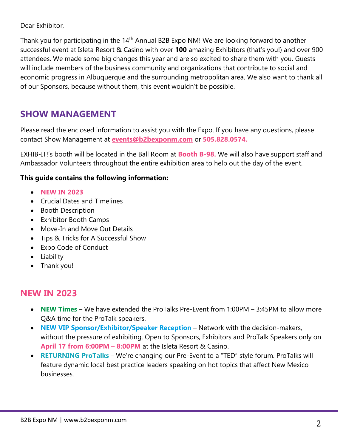Dear Exhibitor,

Thank you for participating in the 14<sup>th</sup> Annual B2B Expo NM! We are looking forward to another successful event at Isleta Resort & Casino with over **100** amazing Exhibitors (that's you!) and over 900 attendees. We made some big changes this year and are so excited to share them with you. Guests will include members of the business community and organizations that contribute to social and economic progress in Albuquerque and the surrounding metropolitan area. We also want to thank all of our Sponsors, because without them, this event wouldn't be possible.

## **SHOW MANAGEMENT**

Please read the enclosed information to assist you with the Expo. If you have any questions, please contact Show Management at **[events@b2bexponm.com](mailto:events@b2bexponm.com)** or **505.828.0574.**

EXHIB-IT!'s booth will be located in the Ball Room at **Booth B-98.** We will also have support staff and Ambassador Volunteers throughout the entire exhibition area to help out the day of the event.

#### **This guide contains the following information:**

- **NEW IN 2023**
- Crucial Dates and Timelines
- Booth Description
- Exhibitor Booth Camps
- Move-In and Move Out Details
- Tips & Tricks for A Successful Show
- Expo Code of Conduct
- Liability
- Thank you!

## **NEW IN 2023**

- **NEW Times** We have extended the ProTalks Pre-Event from 1:00PM 3:45PM to allow more Q&A time for the ProTalk speakers.
- **NEW VIP Sponsor/Exhibitor/Speaker Reception** Network with the decision-makers, without the pressure of exhibiting. Open to Sponsors, Exhibitors and ProTalk Speakers only on **April 17 from 6:00PM – 8:00PM** at the Isleta Resort & Casino.
- **RETURNING ProTalks** We're changing our Pre-Event to a "TED" style forum. ProTalks will feature dynamic local best practice leaders speaking on hot topics that affect New Mexico businesses.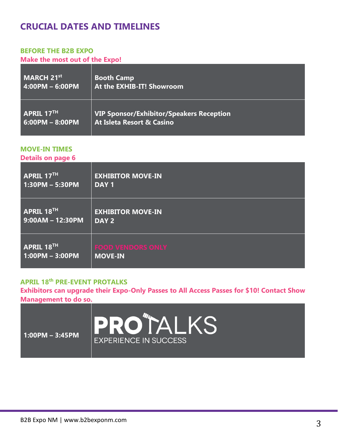## **CRUCIAL DATES AND TIMELINES**

## **BEFORE THE B2B EXPO**

**Make the most out of the Expo!**

| MARCH 21 <sup>st</sup>     | <b>Booth Camp</b>                               |
|----------------------------|-------------------------------------------------|
| 4:00PM - 6:00PM            | At the EXHIB-IT! Showroom                       |
| $R$ APRIL 17 <sup>TH</sup> | <b>VIP Sponsor/Exhibitor/Speakers Reception</b> |
| $6:00PM - 8:00PM$          | <b>At Isleta Resort &amp; Casino</b>            |

#### **MOVE-IN TIMES**

**Details on page 6**

| <b>APRIL 17TH</b>  | <b>EXHIBITOR MOVE-IN</b> |
|--------------------|--------------------------|
| $1:30PM - 5:30PM$  | DAY <sub>1</sub>         |
| <b>APRIL 18TH</b>  | <b>EXHIBITOR MOVE-IN</b> |
| $9:00AM - 12:30PM$ | DAY 2                    |
| <b>APRIL 18TH</b>  | <b>FOOD VENDORS ONLY</b> |
| $1:00PM - 3:00PM$  | <b>MOVE-IN</b>           |

### **APRIL 18th PRE-EVENT PROTALKS**

**Exhibitors can upgrade their Expo-Only Passes to All Access Passes for \$10! Contact Show Management to do so.**

| $1:00PM - 3:45PM$ | <b>PROTALKS</b><br><b>EXPERIENCE IN SUCCESS</b> |
|-------------------|-------------------------------------------------|
|-------------------|-------------------------------------------------|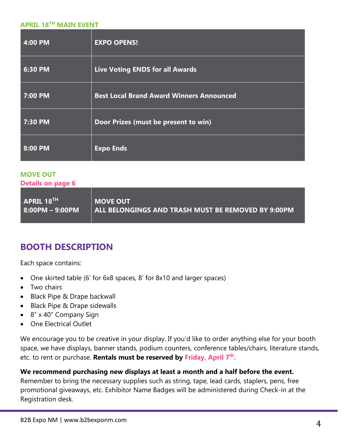#### **APRIL 18TH MAIN EVENT**

| 4:00 PM | <b>EXPO OPENS!</b>                              |
|---------|-------------------------------------------------|
| 6:30 PM | <b>Live Voting ENDS for all Awards</b>          |
| 7:00 PM | <b>Best Local Brand Award Winners Announced</b> |
| 7:30 PM | Door Prizes (must be present to win)            |
| 8:00 PM | <b>Expo Ends</b>                                |

#### **MOVE OUT Details on page 6**

| <b>APRIL 18<sup>TH</sup></b> | <b>MOVE OUT</b>                                    |
|------------------------------|----------------------------------------------------|
| 8:00PM – 9:00PM              | ALL BELONGINGS AND TRASH MUST BE REMOVED BY 9:00PM |
|                              |                                                    |

## **BOOTH DESCRIPTION**

Each space contains:

- One skirted table (6' for 6x8 spaces, 8' for 8x10 and larger spaces)
- Two chairs
- Black Pipe & Drape backwall
- Black Pipe & Drape sidewalls
- 8" x 40" Company Sign
- One Electrical Outlet

We encourage you to be creative in your display. If you'd like to order anything else for your booth space, we have displays, banner stands, podium counters, conference tables/chairs, literature stands, etc. to rent or purchase. **Rentals must be reserved by Friday, April 7th.**

**We recommend purchasing new displays at least a month and a half before the event.** Remember to bring the necessary supplies such as string, tape, lead cards, staplers, pens, free promotional giveaways, etc. Exhibitor Name Badges will be administered during Check-in at the Registration desk.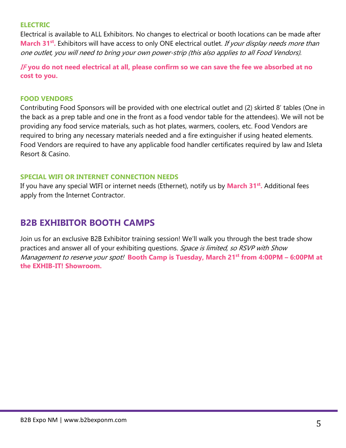#### **ELECTRIC**

Electrical is available to ALL Exhibitors. No changes to electrical or booth locations can be made after **March 31<sup>st</sup>.** Exhibitors will have access to only ONE electrical outlet. If your display needs more than one outlet, you will need to bring your own power-strip (this also applies to all Food Vendors).

IF **you do not need electrical at all, please confirm so we can save the fee we absorbed at no cost to you.**

#### **FOOD VENDORS**

Contributing Food Sponsors will be provided with one electrical outlet and (2) skirted 8' tables (One in the back as a prep table and one in the front as a food vendor table for the attendees). We will not be providing any food service materials, such as hot plates, warmers, coolers, etc. Food Vendors are required to bring any necessary materials needed and a fire extinguisher if using heated elements. Food Vendors are required to have any applicable food handler certificates required by law and Isleta Resort & Casino.

#### **SPECIAL WIFI OR INTERNET CONNECTION NEEDS**

If you have any special WIFI or internet needs (Ethernet), notify us by **March 31st.** Additional fees apply from the Internet Contractor.

### **B2B EXHIBITOR BOOTH CAMPS**

Join us for an exclusive B2B Exhibitor training session! We'll walk you through the best trade show practices and answer all of your exhibiting questions. Space is limited, so RSVP with Show Management to reserve your spot! **Booth Camp is Tuesday, March 21st from 4:00PM – 6:00PM at the EXHIB-IT! Showroom.**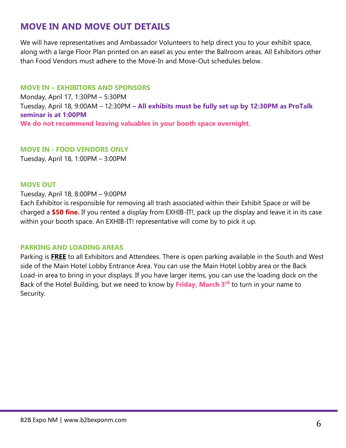## **MOVE IN AND MOVE OUT DETAILS**

We will have representatives and Ambassador Volunteers to help direct you to your exhibit space, along with a large Floor Plan printed on an easel as you enter the Ballroom areas. All Exhibitors other than Food Vendors must adhere to the Move-In and Move-Out schedules below.

#### **MOVE IN – EXHIBITORS AND SPONSORS**

Monday, April 17, 1:30PM – 5:30PM Tuesday, April 18, 9:00AM – 12:30PM **– All exhibits must be fully set up by 12:30PM as ProTalk seminar is at 1:00PM We do not recommend leaving valuables in your booth space overnight.** 

#### **MOVE IN - FOOD VENDORS ONLY**

Tuesday, April 18, 1:00PM – 3:00PM

#### **MOVE OUT**

Tuesday, April 18, 8:00PM – 9:00PM

Each Exhibitor is responsible for removing all trash associated within their Exhibit Space or will be charged a **\$50 fine.** If you rented a display from EXHIB-IT!, pack up the display and leave it in its case within your booth space. An EXHIB-IT! representative will come by to pick it up.

#### **PARKING AND LOADING AREAS**

Parking is **FREE** to all Exhibitors and Attendees. There is open parking available in the South and West side of the Main Hotel Lobby Entrance Area. You can use the Main Hotel Lobby area or the Back Load-in area to bring in your displays. If you have larger items, you can use the loading dock on the Back of the Hotel Building, but we need to know by **Friday, March 3rd** to turn in your name to Security.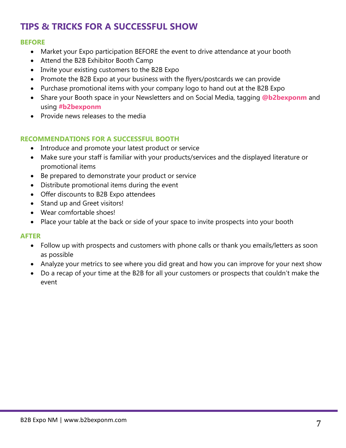## **TIPS & TRICKS FOR A SUCCESSFUL SHOW**

#### **BEFORE**

- Market your Expo participation BEFORE the event to drive attendance at your booth
- Attend the B2B Exhibitor Booth Camp
- Invite your existing customers to the B2B Expo
- Promote the B2B Expo at your business with the flyers/postcards we can provide
- Purchase promotional items with your company logo to hand out at the B2B Expo
- Share your Booth space in your Newsletters and on Social Media, tagging **@b2bexponm** and using **#b2bexponm**
- Provide news releases to the media

#### **RECOMMENDATIONS FOR A SUCCESSFUL BOOTH**

- Introduce and promote your latest product or service
- Make sure your staff is familiar with your products/services and the displayed literature or promotional items
- Be prepared to demonstrate your product or service
- Distribute promotional items during the event
- Offer discounts to B2B Expo attendees
- Stand up and Greet visitors!
- Wear comfortable shoes!
- Place your table at the back or side of your space to invite prospects into your booth

#### **AFTER**

- Follow up with prospects and customers with phone calls or thank you emails/letters as soon as possible
- Analyze your metrics to see where you did great and how you can improve for your next show
- Do a recap of your time at the B2B for all your customers or prospects that couldn't make the event